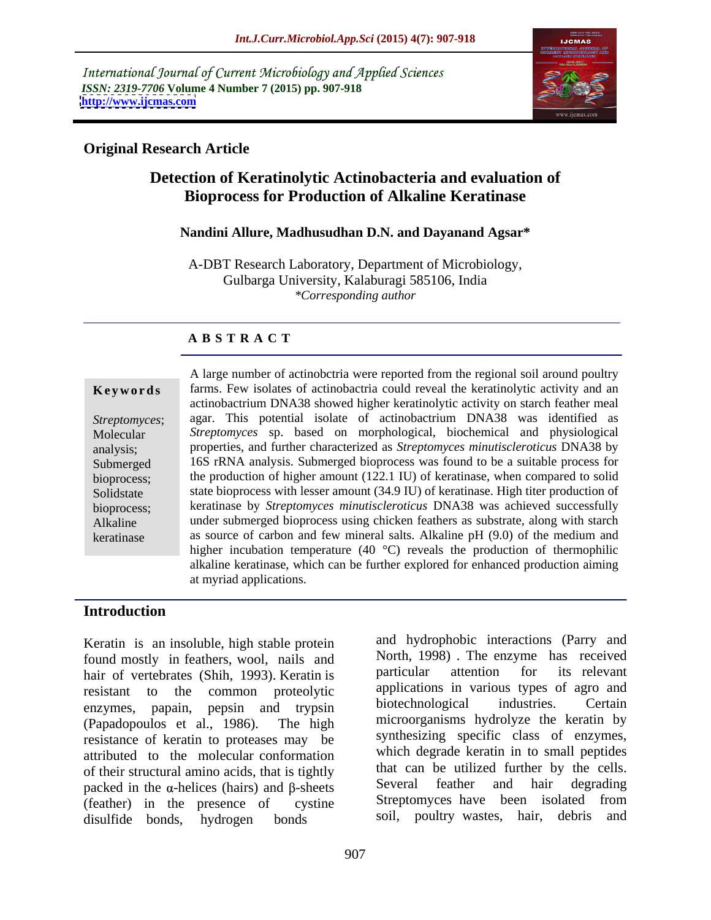International Journal of Current Microbiology and Applied Sciences *ISSN: 2319-7706* **Volume 4 Number 7 (2015) pp. 907-918 <http://www.ijcmas.com>**



### **Original Research Article**

# **Detection of Keratinolytic Actinobacteria and evaluation of Bioprocess for Production of Alkaline Keratinase**

### **Nandini Allure, Madhusudhan D.N. and Dayanand Agsar\***

A-DBT Research Laboratory, Department of Microbiology, Gulbarga University, Kalaburagi 585106, India *\*Corresponding author*

### **A B S T R A C T**

keratinase

A large number of actinobctria were reported from the regional soil around poultry farms. Few isolates of actinobactria could reveal the keratinolytic activity and an **Ke ywo rds** actinobactrium DNA38 showed higher keratinolytic activity on starch feather meal Streptomyces; agar. This potential isolate of actinobactrium DNA38 was identified as *Streptomyces* sp. based on morphological, biochemical and physiological Molecular properties, and further characterized as *Streptomyces minutiscleroticus* DNA38 by analysis; Submerged 16S rRNA analysis. Submerged bioprocess was found to be a suitable process for bioprocess; the production of higher amount (122.1 IU) of keratinase, when compared to solid Solidstate state bioprocess with lesser amount (34.9 IU) of keratinase. High titer production of keratinase by *Streptomyces minutiscleroticus* DNA38 was achieved successfully bioprocess; under submerged bioprocess using chicken feathers as substrate, along with starch Alkaline as source of carbon and few mineral salts. Alkaline  $pH(9.0)$  of the medium and higher incubation temperature (40 °C) reveals the production of thermophilic alkaline keratinase, which can be further explored for enhanced production aiming at myriad applications.

### **Introduction**

Keratin is an insoluble, high stable protein found mostly in feathers, wool, nails and North, 1998). The enzyme has received<br>hair of vertebrates (Shih 1993) Keratin is particular attention for its relevant hair of vertebrates (Shih, 1993). Keratin is resistant to the common proteolytic applications in various types of agro and enzymes, papain, pepsin and trypsin biotechnological industries. Certain (Papadopoulos et al., 1986). The high resistance of keratin to proteases may be attributed to the molecular conformation of their structural amino acids, that is tightly<br>  $\frac{1}{2}$  that can be utilized further by the cells.<br>  $\frac{1}{2}$  several feather and hair degrading packed in the  $\alpha$ -helices (hairs) and  $\beta$ -sheets (feather) in the presence of cystine Streptomyces have been isolated from<br>disulfide bonds by by bonds bonds in the soil, poultry wastes, hair, debris and disulfide bonds, hydrogen bonds soil, poultry wastes, hair, debris and

and hydrophobic interactions (Parry and North, 1998) . The enzyme has received particular attention for its relevant biotechnological industries. Certain microorganisms hydrolyze the keratin by synthesizing specific class of enzymes, which degrade keratin in to small peptides that can be utilized further by the cells. Several feather and hair degrading Streptomyces have been isolated from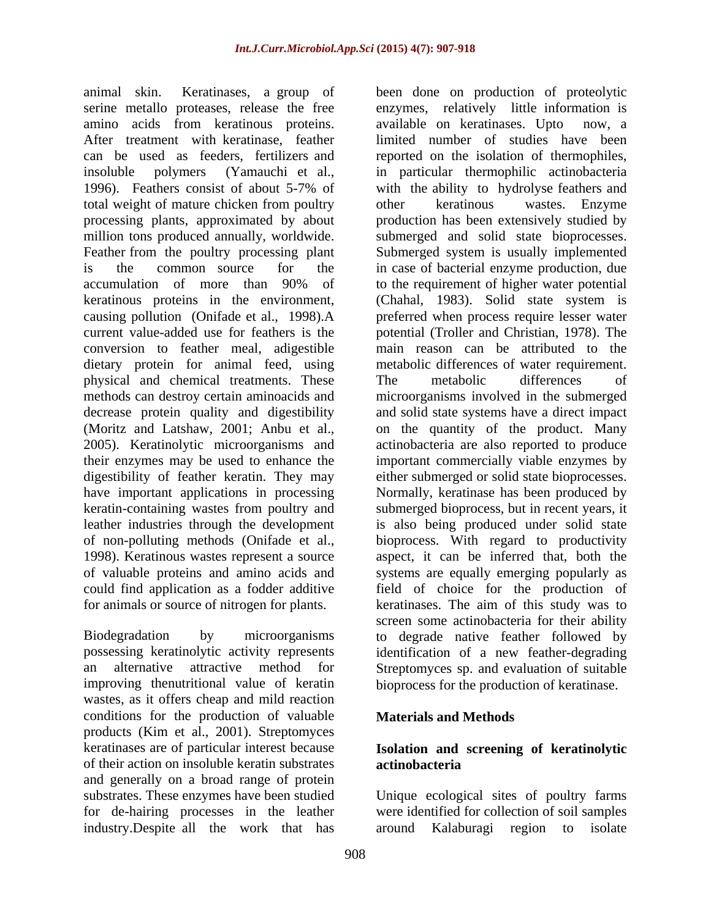animal skin. Keratinases, a group of been done on production of proteolytic amino acids from keratinous proteins. total weight of mature chicken from poultry other keratinous wastes. Enzyme conversion to feather meal, adigestible dietary protein for animal feed, using physical and chemical treatments. These The metabolic differences of have important applications in processing

improving thenutritional value of keratin bioprocess for the production of keratinase. wastes, as it offers cheap and mild reaction conditions for the production of valuable products (Kim et al., 2001). Streptomyces keratinases are of particular interest because **Isolation and screening of keratinolytic** of their action on insoluble keratin substrates and generally on a broad range of protein substrates. These enzymes have been studied Unique ecological sites of poultry farms for de-hairing processes in the leather were identified for collection of soil samples industry.Despite all the work that has around Kalaburagi region to isolate

serine metallo proteases, release the free enzymes, relatively little information is After treatment with keratinase, feather limited number of studies have been can be used as feeders, fertilizers and reported on the isolation of thermophiles, insoluble polymers (Yamauchi et al., in particular thermophilic actinobacteria 1996). Feathers consist of about 5-7% of with the ability to hydrolyse feathers and processing plants, approximated by about production has been extensively studied by million tons produced annually, worldwide. Submerged and solid state bioprocesses. Feather from the poultry processing plant Submerged system is usually implemented is the common source for the in case of bacterial enzyme production, due accumulation of more than 90% of to the requirement of higher water potential keratinous proteins in the environment, (Chahal, 1983). Solid state system is causing pollution (Onifade et al., 1998).A preferred when process require lesser water current value-added use for feathers is the potential (Troller and Christian, 1978). The methods can destroy certain aminoacids and microorganisms involved in the submerged decrease protein quality and digestibility and solid state systems have a direct impact (Moritz and Latshaw, 2001; Anbu et al., on the quantity of the product. Many 2005). Keratinolytic microorganisms and actinobacteria are also reported to produce their enzymes may be used to enhance the important commercially viable enzymes by digestibility of feather keratin. They may either submerged or solid state bioprocesses. keratin-containing wastes from poultry and submerged bioprocess, but in recent years, it leather industries through the development is also being produced under solid state of non-polluting methods (Onifade et al., bioprocess. With regard to productivity 1998). Keratinous wastes represent a source aspect, it can be inferred that, both the of valuable proteins and amino acids and systems are equally emerging popularly as could find application as a fodder additive field of choice for the production of for animals or source of nitrogen for plants. keratinases. The aim of this study was to Biodegradation by microorganisms to degrade native feather followed by possessing keratinolytic activity represents identification of a new feather-degrading an alternative attractive method for Streptomyces sp. and evaluation of suitable available on keratinases. Upto with the ability to hydrolyse feathers and other keratinous wastes. Enzyme to the requirement of higher water potential main reason can be attributed to the metabolic differences of water requirement. The metabolic differences of Normally, keratinase has been produced by screen some actinobacteria for their ability

### **Materials and Methods**

# **actinobacteria**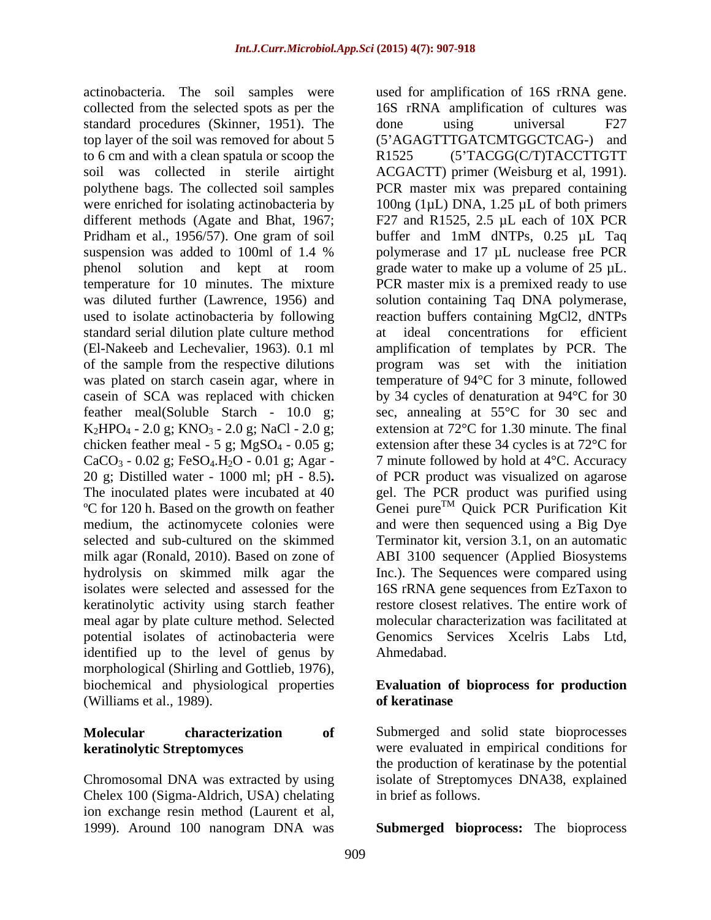actinobacteria. The soil samples were used for amplification of 16S rRNA gene. standard procedures (Skinner, 1951). The done using universal F27 to 6 cm and with a clean spatula or scoop the R1525 (5'TACGG(C/T)TACCTTGTT used to isolate actinobacteria by following standard serial dilution plate culture method at ideal concentrations for efficient (El-Nakeeb and Lechevalier, 1963). 0.1 ml amplification of templates by PCR. The chicken feather meal - 5 g; MgSO<sub>4</sub> - 0.05 g;<br>CaCO<sub>3</sub> - 0.02 g; FeSO<sub>4</sub>.H<sub>2</sub>O - 0.01 g; Agar -20 g; Distilled water - 1000 ml; pH - 8.5)**.** keratinolytic activity using starch feather meal agar by plate culture method. Selected potential isolates of actinobacteria were identified up to the level of genus by morphological (Shirling and Gottlieb, 1976),<br>biochemical and physiological properties **biological Evaluation of bioprocess for production** (Williams et al., 1989).

Chromosomal DNA was extracted by using isolate of Streptomyces DNA38, explained Chelex 100 (Sigma-Aldrich, USA) chelating ion exchange resin method (Laurent et al, 1999). Around 100 nanogram DNA was **Submerged bioprocess:** The bioprocess

collected from the selected spots as per the 16S rRNA amplification of cultures was top layer of the soil was removed for about 5 (5 AGAGTTTGATCMTGGCTCAG-) and soil was collected in sterile airtight ACGACTT) primer (Weisburg et al, 1991). polythene bags. The collected soil samples PCR master mix was prepared containing were enriched for isolating actinobacteria by  $100ng (1µL) DNA$ , 1.25 µL of both primers different methods (Agate and Bhat, 1967; F27 and R1525, 2.5 µL each of 10X PCR Pridham et al., 1956/57). One gram of soil buffer and 1mM dNTPs, 0.25 µL Taq suspension was added to 100ml of 1.4 % polymerase and 17 µL nuclease free PCR phenol solution and kept at room grade water to make up a volume of 25 µL. temperature for 10 minutes. The mixture PCR master mix is a premixed ready to use was diluted further (Lawrence, 1956) and solution containing Taq DNA polymerase, (El-Nakeeb and Lechevalier, 1963). 0.1 ml amplification of templates by PCR. The of the sample from the respective dilutions program was set with the initiation was plated on starch casein agar, where in temperature of 94 °C for 3 minute, followed casein of SCA was replaced with chicken by 34 cycles of denaturation at 94°C for 30 feather meal(Soluble Starch - 10.0 g; sec, annealing at 55°C for 30 sec and  $K_2HPO_4 - 2.0$  g;  $KNO_3 - 2.0$  g; NaCl - 2.0 g; extension at 72°C for 1.30 minute. The final CaCO<sub>3</sub> - 0.02 g; FeSO<sub>4</sub>.H<sub>2</sub>O - 0.01 g; Agar - 7 minute followed by hold at  $4^{\circ}$ C. Accuracy The inoculated plates were incubated at 40 gel. The PCR product was purified using <sup>o</sup>C for 120 h. Based on the growth on feather Genei pure<sup>1M</sup> Quick PCR Purification Kit medium, the actinomycete colonies were and were then sequenced using a Big Dye selected and sub-cultured on the skimmed Terminator kit, version 3.1, on an automatic milk agar (Ronald, 2010). Based on zone of ABI 3100 sequencer (Applied Biosystems hydrolysis on skimmed milk agar the Inc.). The Sequences were compared using isolates were selected and assessed for the 16S rRNA gene sequences from EzTaxon to done using universal F27 R1525 (5 TACGG(C/T)TACCTTGTT polymerase and 17 µL nuclease free PCR reaction buffers containing MgCl2, dNTPs ideal concentrations extension after these 34 cycles is at 72°C for of PCR product was visualized on agarose  $T^M$  Quick PCR Purification Kit restore closest relatives. The entire work of molecular characterization was facilitated at Genomics Services Xcelris Labs Ltd, Ahmedabad.

### **Evaluation of bioprocess for production of keratinase**

**Molecular characterization of** Submerged and solid state bioprocesses **keratinolytic Streptomyces** were evaluated in empirical conditions for the production of keratinase by the potential in brief as follows.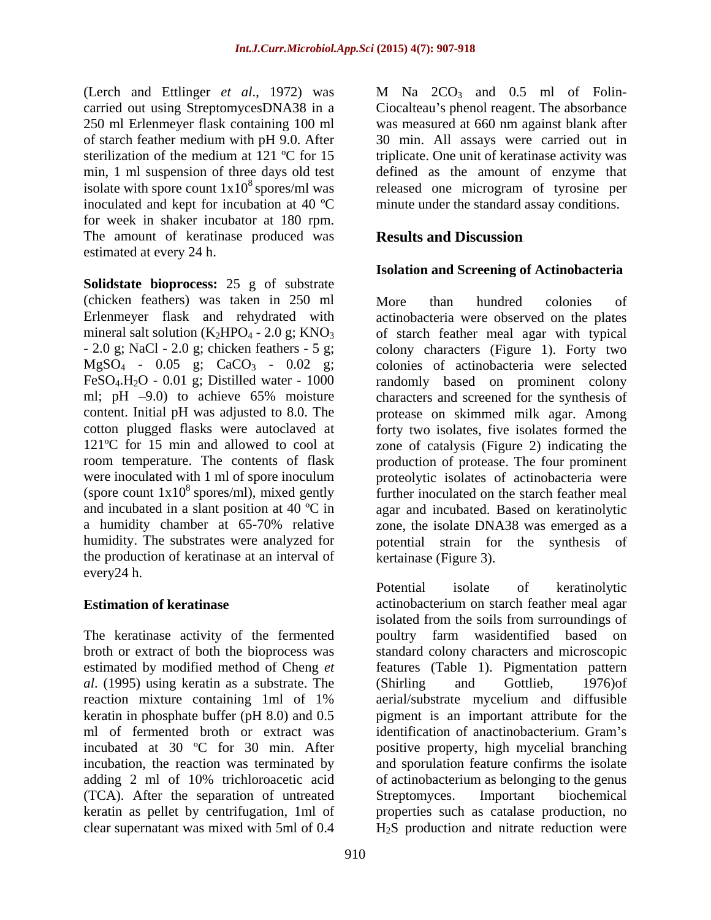250 ml Erlenmeyer flask containing 100 ml isolate with spore count  $1x10^8$  spores/ml was inoculated and kept for incubation at 40 ºC minute under the standard assay conditions. for week in shaker incubator at 180 rpm. The amount of keratinase produced was estimated at every 24 h.

**Solidstate bioprocess:** 25 g of substrate (chicken feathers) was taken in 250 ml FeSO<sub>4</sub>.H<sub>2</sub>O - 0.01 g; Distilled water - 1000 ml; pH  $-9.0$ ) to achieve 65% moisture were inoculated with 1 ml of spore inoculum the production of keratinase at an interval of every24 h.

The keratinase activity of the fermented broth or extract of both the bioprocess was standard colony characters and microscopic estimated by modified method of Cheng *et*  features (Table 1). Pigmentation pattern *al*. (1995) using keratin as a substrate. The reaction mixture containing 1ml of 1% keratin in phosphate buffer (pH 8.0) and 0.5 pigment is an important attribute for the ml of fermented broth or extract was identification of anactinobacterium. Gram's incubated at 30 ºC for 30 min. After positive property, high mycelial branching incubation, the reaction was terminated by and sporulation feature confirms the isolate adding 2 ml of 10% trichloroacetic acid of actinobacterium as belonging to the genus (TCA). After the separation of untreated keratin as pellet by centrifugation, 1ml of properties such as catalase production, no

 $($ Let  $l$  and  $l$  Let  $l$  and  $l$ ,  $l$  and  $l$  are  $l$ ,  $l$  and  $l$ . We have  $l$  and  $l$  and  $l$ . The set  $l$  and  $l$  are  $l$ .carried out using StreptomycesDNA38 in a Ciocalteau's phenol reagent. The absorbance of starch feather medium with pH 9.0. After 30 min. All assays were carried out in sterilization of the medium at 121 °C for 15 triplicate. One unit of keratinase activity was min, 1 ml suspension of three days old test defined as the amount of enzyme that was measured at 660 nm against blank after released one microgram of tyrosine per

## **Results and Discussion**

### **Isolation and Screening of Actinobacteria**

Erlenmeyer flask and rehydrated with actinobacteria were observed on the plates mineral salt solution  $(K_2HPO_4 - 2.0 g; KNO_3$  of starch feather meal agar with typical - 2.0 g; NaCl - 2.0 g; chicken feathers - 5 g; colony characters (Figure 1). Forty two  $MgSO_4$  - 0.05 g;  $CaCO_3$  - 0.02 g; colonies of actinobacteria were selected ml; pH 9.0) to achieve 65% moisture characters and screened for the synthesis of content. Initial pH was adjusted to 8.0. The protease on skimmed milk agar. Among cotton plugged flasks were autoclaved at forty two isolates, five isolates formed the 121ºC for 15 min and allowed to cool at zone of catalysis (Figure 2) indicating the room temperature. The contents of flask production of protease. The four prominent (spore count  $1x10^8$  spores/ml), mixed gently further inoculated on the starch feather meal and incubated in a slant position at 40 °C in agar and incubated. Based on keratinolytic a humidity chamber at 65-70% relative zone, the isolate DNA38 was emerged as a humidity. The substrates were analyzed for potential strain for the synthesis of More than hundred colonies of randomly based on prominent colony proteolytic isolates of actinobacteria were kertainase (Figure 3).

**Estimation of keratinase actinobacterium on starch feather meal agar** clear supernatant was mixed with 5ml of 0.4 H2S production and nitrate reduction werePotential isolate of keratinolytic isolated from the soils from surroundings of poultry farm wasidentified based on (Shirling and Gottlieb, 1976)of aerial/substrate mycelium and diffusible Streptomyces. Important biochemical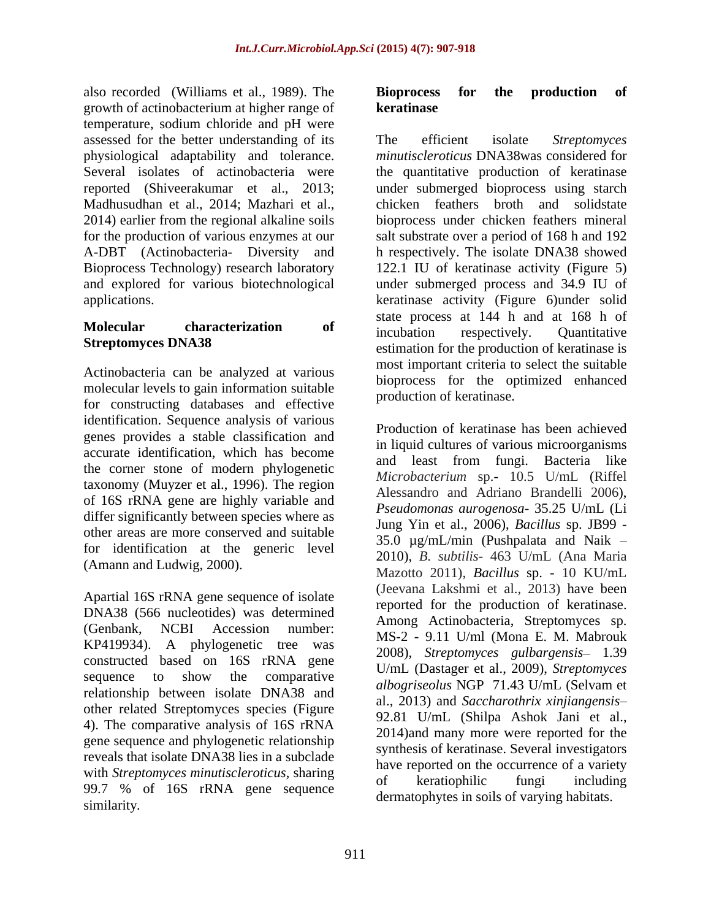also recorded (Williams et al., 1989). The growth of actinobacterium at higher range of temperature, sodium chloride and pH were assessed for the better understanding of its The efficient isolate Streptomyces physiological adaptability and tolerance. Madhusudhan et al., 2014; Mazhari et al.,

Actinobacteria can be analyzed at various molecular levels to gain information suitable for constructing databases and effective identification. Sequence analysis of various genes provides a stable classification and accurate identification, which has become the corner stone of modern phylogenetic taxonomy (Muyzer et al., 1996). The region of 16S rRNA gene are highly variable and differ significantly between species where as other areas are more conserved and suitable for identification at the generic level (Amann and Ludwig, 2000).

Apartial 16S rRNA gene sequence of isolate DNA38 (566 nucleotides) was determined KP419934). A phylogenetic tree was constructed based on 16S rRNA gene relationship between isolate DNA38 and other related Streptomyces species (Figure 4). The comparative analysis of 16S rRNA gene sequence and phylogenetic relationship reveals that isolate DNA38 lies in a subclade with *Streptomyces minutiscleroticus*, sharing<br>of **high-**  $\frac{a}{b}$  **contract the streptomyces**<br> $\frac{b}{c}$  **contract the streptomyces**  $\frac{b}{c}$  **contract the streptomyces**  $\frac{c}{d}$  **contract to the streptomyces**  $\frac{c}{d}$ 99.7 % of 16S rRNA gene sequence

# **keratinase**

Several isolates of actinobacteria were the quantitative production of keratinase reported (Shiveerakumar et al., 2013; under submerged bioprocess using starch 2014) earlier from the regional alkaline soils bioprocessunder chicken feathers mineral for the production of various enzymes at our salt substrate over a period of 168 h and 192 A-DBT (Actinobacteria- Diversity and h respectively. The isolate DNA38 showed Bioprocess Technology) research laboratory 122.1 IU of keratinase activity (Figure 5) and explored for various biotechnological under submerged process and 34.9 IU of applications. keratinase activity (Figure 6)under solid **Molecular characterization of incubation respectively Ouantitative Streptomyces DNA38** estimation for the production of keratinase is The efficient isolate *Streptomyces minutiscleroticus* DNA38was considered for chicken feathers broth and solidstate state process at 144 h and at 168 h of incubation respectively. Quantitative most important criteria to select the suitable bioprocess for the optimized enhanced production of keratinase.

(Genbank, NCBI Accession number: MS-2 - 9.11 U/ml (Mona E. M. Mabrouk sequence to show the comparative  $U_{\text{ML}}$  (Dastage et al., 2002), streptomyces show received (Williams et al., 1986). The Bioprocess for the production of<br>simple range of **kerumations** and the correspondence of the production of<br>summation in the correspondence of the correspondence of the state of<br>st Production of keratinase has been achieved in liquid cultures of various microorganisms and least from fungi. Bacteria like *Microbacterium* sp.- 10.5 U/mL (Riffel Alessandro and Adriano Brandelli 2006), *Pseudomonas aurogenosa-* 35.25 U/mL (Li Jung Yin et al., 2006), *Bacillus* sp. JB99 - 35.0  $\mu$ g/mL/min (Pushpalata and Naik – 2010), *B. subtilis*- 463 U/mL (Ana Maria Mazotto 2011), *Bacillus* sp. - 10 KU/mL (Jeevana Lakshmi et al., 2013) have been reported for the production of keratinase. Among Actinobacteria, Streptomyces sp. 2008), *Streptomyces gulbargensis* 1.39 U/mL (Dastager et al., 2009), *Streptomyces albogriseolus* NGP 71.43 U/mL (Selvam et al., 2013) and *Saccharothrix xinjiangensis* 92.81 U/mL (Shilpa Ashok Jani et al., 2014)and many more were reported for the synthesis of keratinase. Several investigators have reported on the occurrence of a variety of keratiophilic fungi including dermatophytes in soils of varying habitats.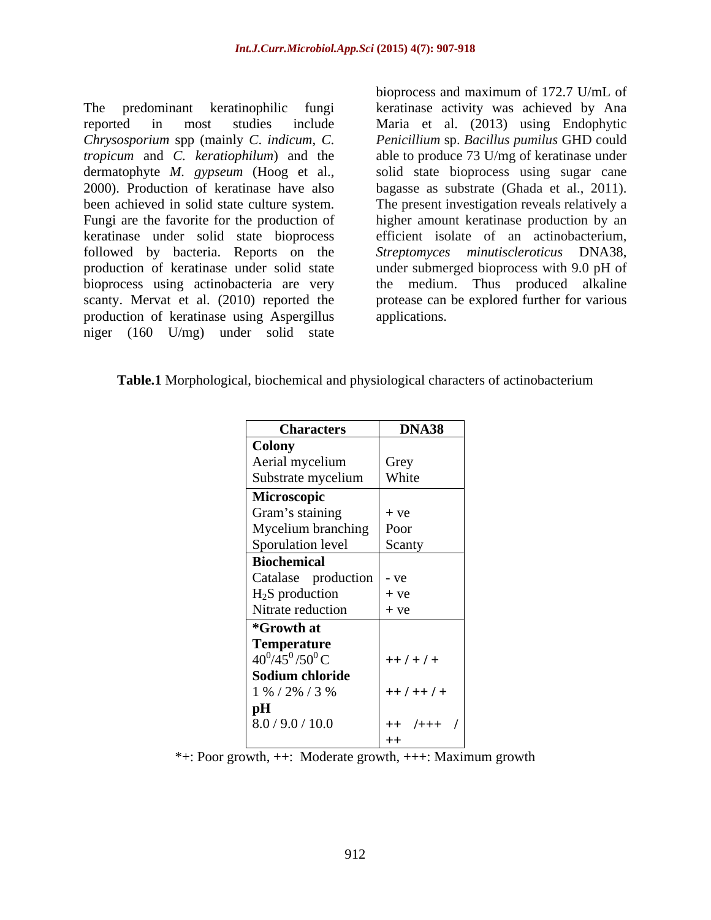The predominant keratinophilic fungi keratinase activity was achieved by Ana reported in most studies include Maria et al. (2013) using Endophytic *Chrysosporium* spp (mainly *C*. *indicum*, *C*. *Penicillium* sp. *Bacillus pumilus* GHD could *tropicum* and *C. keratiophilum*) and the dermatophyte *M. gypseum* (Hoog et al., 2000). Production of keratinase have also bagasse as substrate (Ghada et al., 2011). been achieved in solid state culture system. The present investigation reveals relatively a Fungi are the favorite for the production of higher amount keratinase production by an keratinase under solid state bioprocess followed by bacteria. Reports on the *Streptomyces minutiscleroticus* DNA38, production of keratinase under solid state under submerged bioprocess with 9.0 pH of bioprocess using actinobacteria are very the medium. Thus produced alkaline scanty. Mervat et al. (2010) reported the production of keratinase using Aspergillus niger (160 U/mg) under solid state

bioprocess and maximum of 172.7 U/mL of able to produce 73 U/mg of keratinase under solid state bioprocess using sugar cane efficient isolate of an actinobacterium, protease can be explored further for various applications.

| Table.1 Mor<br>$\therefore$ rical biochemic.<br>.<br>and physiological characters of actinobacterium. |  |  |
|-------------------------------------------------------------------------------------------------------|--|--|
|                                                                                                       |  |  |

| <b>Characters</b>                        | DNA38      |
|------------------------------------------|------------|
| <b>Colony</b>                            |            |
| Aerial mycelium                          | Grey       |
| Substrate mycelium                       | White      |
| Microscopic                              |            |
| Gram's staining                          | $+ve$      |
| Mycelium branching Poor                  |            |
|                                          | Scanty     |
| Sporulation level<br>Biochemical         |            |
| Catalase production - ve                 |            |
| $H_2S$ production                        | $+ve$      |
| Nitrate reduction                        | $+ve$      |
| *Growth at                               |            |
|                                          |            |
| <b>Temperature</b><br>$40^0/45^0/50^0$ C | $++/-/+$   |
| Sodium chloride                          |            |
| 1 % / 2% / 3 %                           | $++/-+/-$  |
| pH                                       |            |
| 8.0 / 9.0 / 10.0                         | $ ++/+++/$ |
|                                          | $+$        |

\*+: Poor growth, ++: Moderate growth, +++: Maximum growth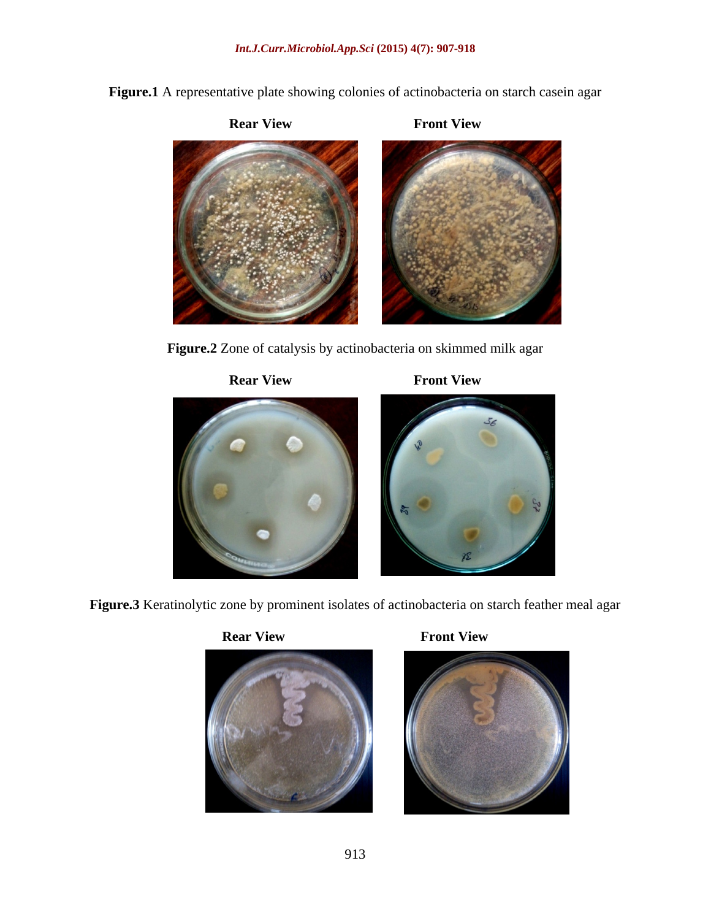**Figure.1** A representative plate showing colonies of actinobacteria on starch casein agar

**Rear View Front View**



**Figure.2** Zone of catalysis by actinobacteria on skimmed milk agar



**Figure.3** Keratinolytic zone by prominent isolates of actinobacteria on starch feather meal agar







**Rear View Front View**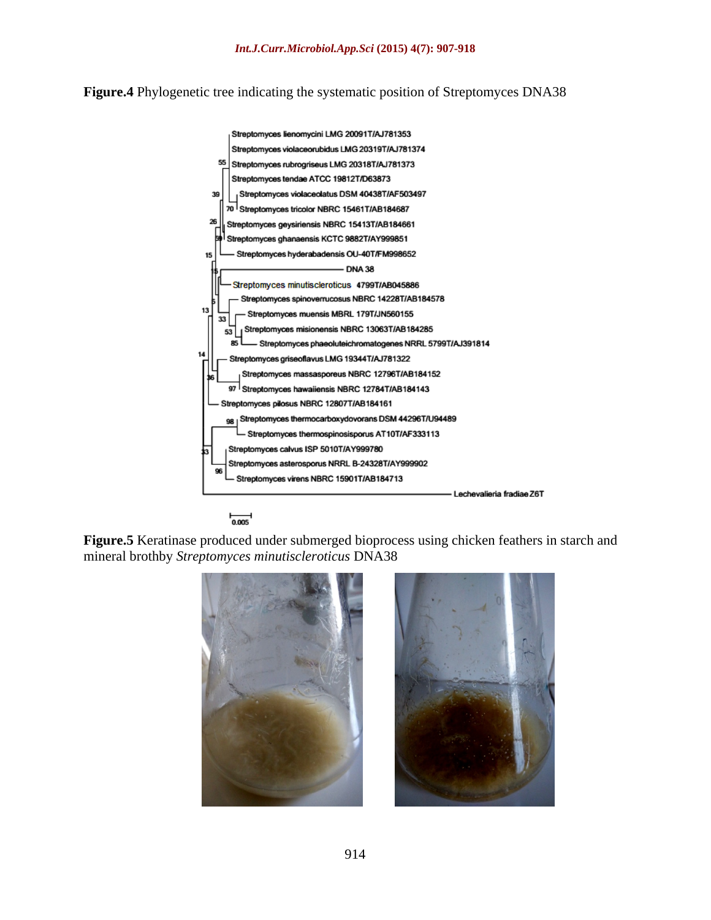**Figure.4** Phylogenetic tree indicating the systematic position of Streptomyces DNA38



 $\frac{1}{0.005}$ 

**Figure.5** Keratinase produced under submerged bioprocess using chicken feathers in starch and mineral brothby *Streptomyces minutiscleroticus* DNA38

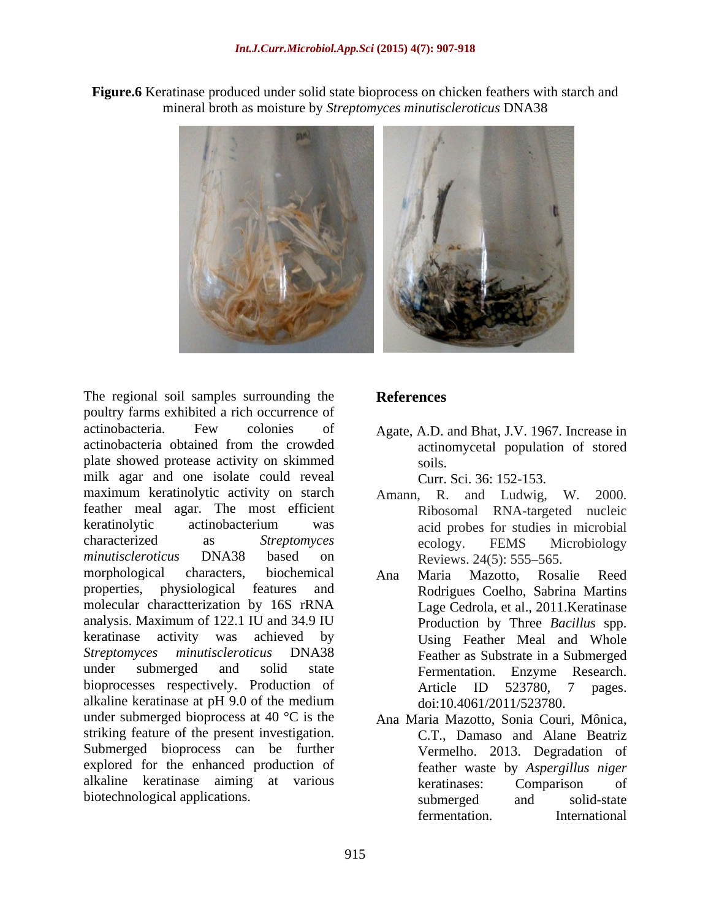**Figure.6** Keratinase produced under solid state bioprocess on chicken feathers with starch and mineral broth as moisture by *Streptomyces minutiscleroticus* DNA38



The regional soil samples surrounding the References poultry farms exhibited a rich occurrence of actinobacteria. Few colonies of Agate, A.D. and Bhat, J.V. 1967. Increase in actinobacteria obtained from the crowded plate showed protease activity on skimmed milk agar and one isolate could reveal maximum keratinolytic activity on starch Amann, R. and Ludwig, W. 2000. feather meal agar. The most efficient keratinolytic actinobacterium was acid probes for studies in microbial characterized as *Streptomyces minutiscleroticus* DNA38 based on Reviews. 24(5): 555–565. morphological characters, biochemical Ana Maria Mazotto, Rosalie Reed molecular charactterization by 16S rRNA analysis. Maximum of 122.1 IU and 34.9 IU bioprocesses respectively. Production of Article ID 523780, 7 pages. alkaline keratinase at pH 9.0 of the medium under submerged bioprocess at 40 °C is the Ana Maria Mazotto, Sonia Couri, Mônica, striking feature of the present investigation. Submerged bioprocess can be further explored for the enhanced production of alkaline keratinase aiming at various **and all intervalled** keratinases: Comparison of

## **References**

actinomycetal population of stored soils.

Curr. Sci. 36: 152-153.

- Amann, R. and Ludwig, Ribosomal RNA-targeted nucleic acid probes for studies in microbial ecology. FEMS Microbiology Reviews. 24(5): 555–565.
- properties, physiological features and Rodrigues Coelho, Sabrina Martins keratinase activity was achieved by Using Feather Meal and Whole *Streptomyces minutiscleroticus* DNA38 Feather as Substrate in a Submerged under submerged and solid state Fermentation. Enzyme Research. Lage Cedrola, et al., 2011.Keratinase Production by Three *Bacillus* spp. Article ID 523780, 7 pages. doi:10.4061/2011/523780.
- biotechnological applications. Submerged and solid-state C.T., Damaso and Alane Beatriz Vermelho. 2013. Degradation of feather waste by *Aspergillus niger* keratinases: Comparison of submerged and solid-state fermentation. International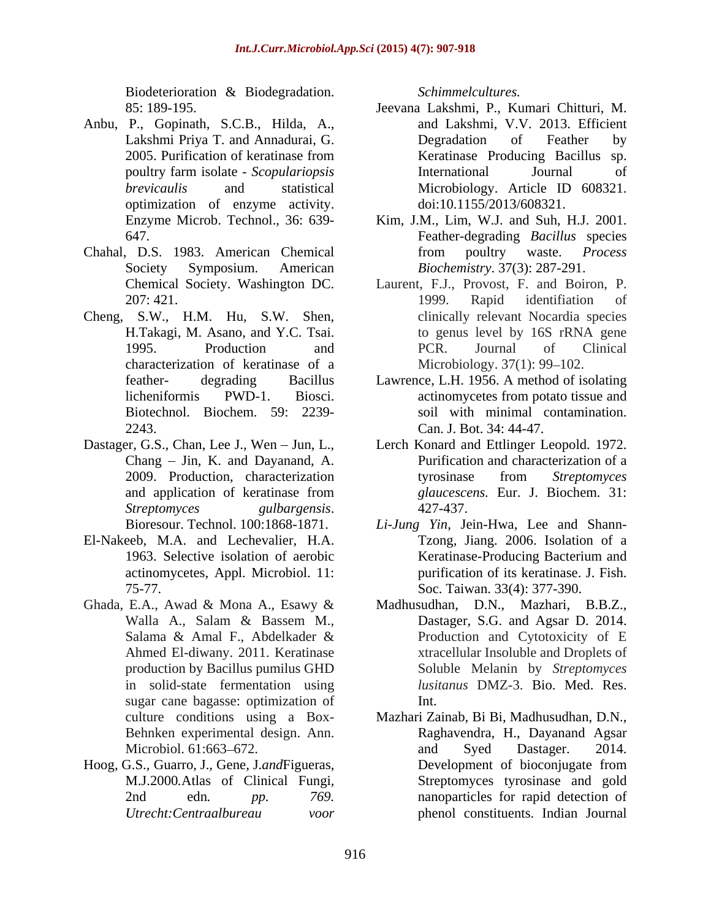Biodeterioration & Biodegradation.

- Anbu, P., Gopinath, S.C.B., Hilda, A., optimization of enzyme activity.
- Chahal, D.S. 1983. American Chemical
- Cheng, S.W., H.M. Hu, S.W. Shen, characterization of keratinase of a
- *Streptomyces gulbargensis*. Bioresour. Technol. 100:1868-1871. *Li-Jung Yin*, Jein-Hwa, Lee and Shann-
- El-Nakeeb, M.A. and Lechevalier, H.A. actinomycetes, Appl. Microbiol. 11:
- in solid-state fermentation using sugar cane bagasse: optimization of
- Hoog, G.S.*,* Guarro, J.*,* Gene, J.*and*Figueras, M.J.2000*.*Atlas of Clinical Fungi*,*

*Schimmelcultures.*

- 85: 189-195. Jeevana Lakshmi, P., Kumari Chitturi, M. Lakshmi Priya T. and Annadurai, G. 2005. Purification of keratinase from Keratinase Producing Bacillus sp. poultry farm isolate - *Scopulariopsis brevicaulis* and statistical Microbiology. Article ID 608321. and Lakshmi, V.V. 2013. Efficient Degradation of Feather by Keratinase Producing Bacillus sp. International Journal of Microbiology. Article ID 608321. doi:10.1155/2013/608321.
- Enzyme Microb. Technol., 36: 639- Kim, J.M., Lim, W.J. and Suh, H.J. 2001. 647. Feather-degrading *Bacillus* species Society Symposium. American *Biochemistry*. 37(3): 287-291. from poultry waste. *Process*
- Chemical Society. Washington DC. Laurent, F.J., Provost, F. and Boiron, P. 207: 421. **1999.** Rapid identifiation of H.Takagi, M. Asano, and Y.C. Tsai. 1995. Production and PCR. Journal of Clinical 1999. Rapid identifiation of clinically relevant Nocardia species to genus level by 16S rRNA gene PCR. Journal of Clinical Microbiology. 37(1): 99–102.
- feather- degrading Bacillus Lawrence, L.H. 1956. A method of isolating licheniformis PWD-1. Biosci. Biotechnol. Biochem. 59: 2239- soil with minimal contamination. 2243. Can. J. Bot. 34: 44-47. actinomycetes from potato tissue and
- Dastager, G.S., Chan, Lee J., Wen Jun, L., Lerch Konard and Ettlinger Leopold. 1972. Chang – Jin, K. and Dayanand, A. Purification and characterization of a 2009. Production, characterization tyrosinase from Streptomyces and application of keratinase from *glaucescens*. Eur. J. Biochem. 31: tyrosinase from *Streptomyces glaucescens.* Eur. J. Biochem. 31: 427-437.
	- 1963. Selective isolation of aerobic 75-77. Soc. Taiwan. 33(4): 377-390. Tzong, Jiang. 2006. Isolation of a Keratinase-Producing Bacterium and purification of its keratinase. J. Fish.
- Ghada, E.A., Awad & Mona A., Esawy & Madhusudhan, D.N., Mazhari, B.B.Z., Walla A., Salam & Bassem M., Salama & Amal F., Abdelkader & Production and Cytotoxicity of E Ahmed El-diwany. 2011. Keratinase xtracellular Insoluble and Droplets of production by Bacillus pumilus GHD Soluble Melanin by *Streptomyces*  Dastager, S.G. and Agsar D. 2014. Production and Cytotoxicity of E *lusitanus* DMZ-3. Bio. Med. Res. Int.
	- culture conditions using a Box- Mazhari Zainab, Bi Bi, Madhusudhan, D.N., Behnken experimental design. Ann. Raghavendra, H., Dayanand Agsar Microbiol. 61:663–672. The and Syed Dastager. 2014. 2nd edn*. pp. 769.* nanoparticles for rapid detection of *Utrecht:Centraalbureau voor* phenol constituents. Indian Journaland Syed Dastager. 2014. Development of bioconjugate from Streptomyces tyrosinase and gold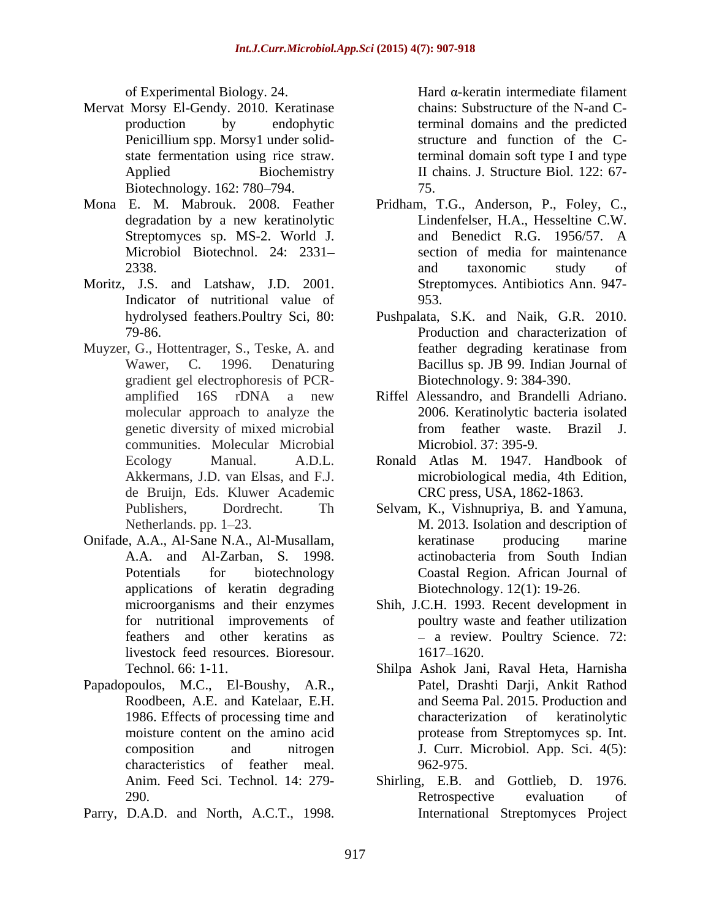- Mervat Morsy El-Gendy. 2010. Keratinase production by endophytic terminal domains and the predicted Penicillium spp. Morsy1 under solid- structure and function of the Cstate fermentation using rice straw. terminal domain soft type I and type Applied Biochemistry II chains. J. Structure Biol. 122: 67-Biotechnology. 162: 780–794. 75.
- 
- Moritz, J.S. and Latshaw, J.D. 2001. Indicator of nutritional value of 953.
- Muyzer, G., Hottentrager, S., Teske, A. and feather degrading keratinase from gradient gel electrophoresis of PCR-<br>amplified 16S rDNA a new communities. Molecular Microbial de Bruijn, Eds. Kluwer Academic r Fregeriannia Roles 24. Hartim intermediate filmeral intermediate filmeral and A.C. Hard -keratin behavior by endoption intermediate intermediate for the experimental of the state of the state of the state of the state o
- Onifade, A.A., Al-Sane N.A., Al-Musallam, applications of keratin degrading livestock feed resources. Bioresour.
- Papadopoulos, M.C., El-Boushy, A.R., characteristics of feather meal.
- 

of Experimental Biology. 24. chains: Substructure of the N-and C-75.

- Mona E. M. Mabrouk. 2008. Feather Pridham, T.G., Anderson, P., Foley, C., degradation by a new keratinolytic Lindenfelser, H.A., Hesseltine C.W. Streptomyces sp. MS-2. World J. and Benedict R.G. 1956/57. A Microbiol Biotechnol. 24: 2331 section of media for maintenance 2338. 2338. Lindenfelser, H.A., Hesseltine C.W. and Benedict R.G. 1956/57. A and taxonomic study of Streptomyces. Antibiotics Ann. 947- 953.
	- hydrolysed feathers.Poultry Sci, 80: Pushpalata, S.K. and Naik, G.R. 2010. 79-86. Production and characterization of Wawer, C. 1996. Denaturing Bacillus sp. JB 99. Indian Journal of feather degrading keratinase from Biotechnology. 9: 384-390.
	- amplified 16S rDNA a new Riffel Alessandro, and Brandelli Adriano. molecular approach to analyze the 2006. Keratinolytic bacteria isolated genetic diversity of mixed microbial from feather waste. Brazil J. from feather waste. Brazil J. Microbiol. 37: 395-9.
	- Ecology Manual. A.D.L. Ronald Atlas M. 1947. Handbook of Akkermans, J.D. van Elsas, and F.J. microbiological media, 4th Edition, CRC press, USA, 1862-1863.
	- Publishers, Dordrecht. Th Selvam, K., Vishnupriya, B. and Yamuna, Netherlands. pp. 1–23. M. 2013. Isolation and description of A.A. and Al-Zarban, S. 1998. Potentials for biotechnology Coastal Region. African Journal of keratinase producing marine actinobacteria from South Indian Biotechnology. 12(1): 19-26.
	- microorganisms and their enzymes Shih, J.C.H. 1993. Recent development in for nutritional improvements of poultry waste and feather utilization feathers and other keratins as a review. Poultry Science. 72: 1617 1620.
	- Technol. 66: 1-11. Shilpa Ashok Jani, Raval Heta, Harnisha Roodbeen, A.E. and Katelaar, E.H. and Seema Pal. 2015. Production and 1986. Effects of processing time and characterization of keratinolytic moisture content on the amino acid protease from Streptomyces sp. Int. composition and nitrogen J. Curr. Microbiol. App. Sci. 4(5): Patel, Drashti Darji, Ankit Rathod characterization of keratinolytic protease from Streptomyces sp. Int. 962-975.
	- Anim. Feed Sci. Technol. 14: 279- Shirling, E.B. and Gottlieb, D. 1976. 290. Retrospective evaluation of Retrospective evaluation of International Streptomyces Project